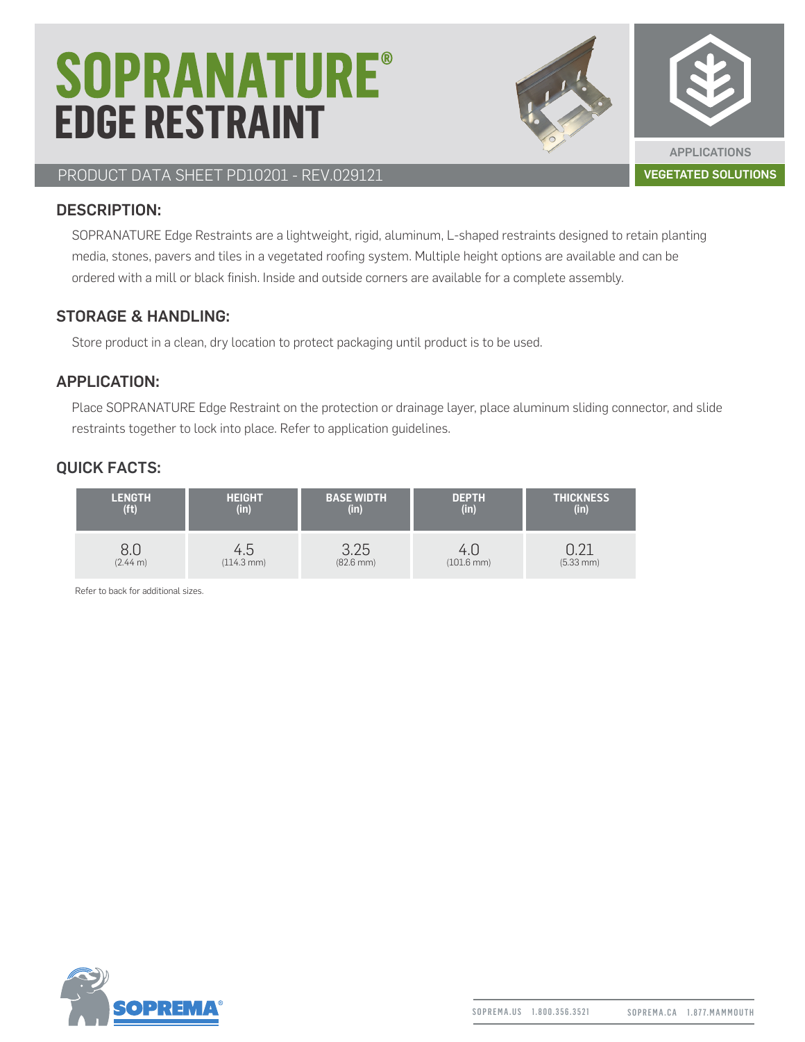# **SOPRANATURE® EDGE RESTRAINT**



PRODUCT DATA SHEET PD10201 - REV.029121 VEGETATED SOLUTIONS

#### DESCRIPTION:

SOPRANATURE Edge Restraints are a lightweight, rigid, aluminum, L-shaped restraints designed to retain planting media, stones, pavers and tiles in a vegetated roofing system. Multiple height options are available and can be ordered with a mill or black finish. Inside and outside corners are available for a complete assembly.

#### STORAGE & HANDLING:

Store product in a clean, dry location to protect packaging until product is to be used.

## APPLICATION:

Place SOPRANATURE Edge Restraint on the protection or drainage layer, place aluminum sliding connector, and slide restraints together to lock into place. Refer to application guidelines.

## QUICK FACTS:

| <b>LENGTH</b>     | <b>HEIGHT</b>          | <b>BASE WIDTH</b>     | <b>DEPTH</b>           | <b>THICKNESS</b> |
|-------------------|------------------------|-----------------------|------------------------|------------------|
| (f <sup>t</sup> ) | (in)                   | (in)                  | $(in)^{n}$             | (in)             |
| ŏ.U               | 4.5                    | 3.25                  | 4.U                    | $(5.33$ mm $)$   |
| (2.44 m)          | $(114.3 \, \text{mm})$ | $(82.6 \, \text{mm})$ | $(101.6 \, \text{mm})$ |                  |

Refer to back for additional sizes.